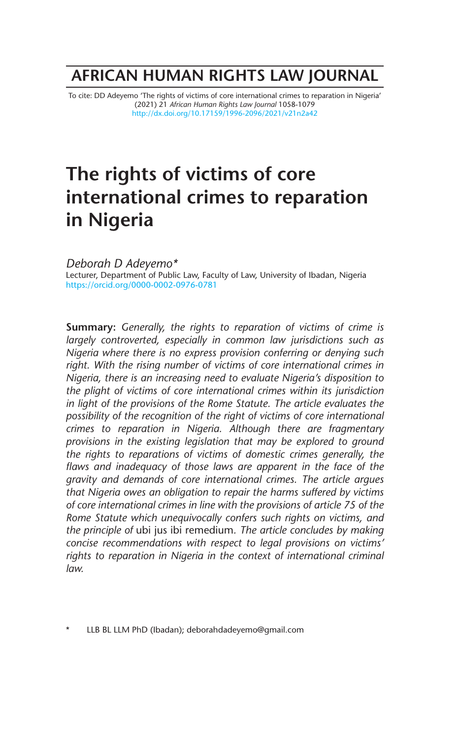# **AFRICAN HUMAN RIGHTS LAW JOURNAL**

To cite: DD Adeyemo 'The rights of victims of core international crimes to reparation in Nigeria' (2021) 21 *African Human Rights Law Journal* 1058-1079 http://dx.doi.org/10.17159/1996-2096/2021/v21n2a42

# **The rights of victims of core international crimes to reparation in Nigeria**

*Deborah D Adeyemo\** Lecturer, Department of Public Law, Faculty of Law, University of Ibadan, Nigeria https://orcid.org/0000-0002-0976-0781

**Summary:** *Generally, the rights to reparation of victims of crime is largely controverted, especially in common law jurisdictions such as Nigeria where there is no express provision conferring or denying such right. With the rising number of victims of core international crimes in Nigeria, there is an increasing need to evaluate Nigeria's disposition to the plight of victims of core international crimes within its jurisdiction in light of the provisions of the Rome Statute. The article evaluates the possibility of the recognition of the right of victims of core international crimes to reparation in Nigeria. Although there are fragmentary provisions in the existing legislation that may be explored to ground the rights to reparations of victims of domestic crimes generally, the*  flaws and inadequacy of those laws are apparent in the face of the *gravity and demands of core international crimes. The article argues that Nigeria owes an obligation to repair the harms suffered by victims of core international crimes in line with the provisions of article 75 of the Rome Statute which unequivocally confers such rights on victims, and the principle of* ubi jus ibi remedium*. The article concludes by making concise recommendations with respect to legal provisions on victims' rights to reparation in Nigeria in the context of international criminal law.*

LLB BL LLM PhD (Ibadan); deborahdadeyemo@gmail.com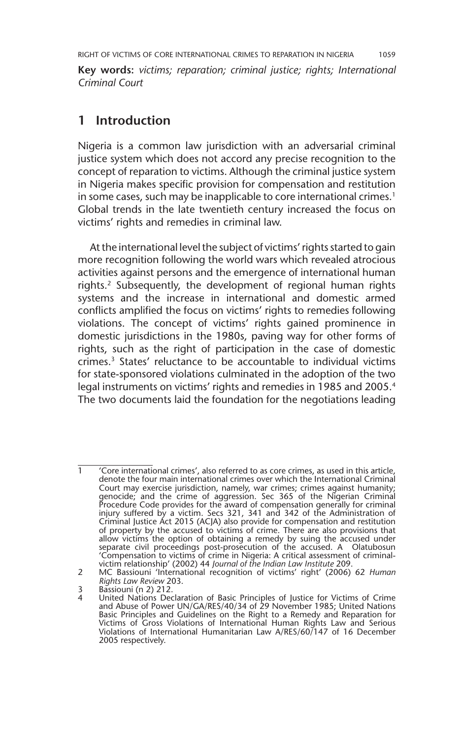**Key words:** *victims; reparation; criminal justice; rights; International Criminal Court*

#### **1 Introduction**

Nigeria is a common law jurisdiction with an adversarial criminal justice system which does not accord any precise recognition to the concept of reparation to victims. Although the criminal justice system in Nigeria makes specific provision for compensation and restitution in some cases, such may be inapplicable to core international crimes.<sup>1</sup> Global trends in the late twentieth century increased the focus on victims' rights and remedies in criminal law.

At the international level the subject of victims' rights started to gain more recognition following the world wars which revealed atrocious activities against persons and the emergence of international human rights.<sup>2</sup> Subsequently, the development of regional human rights systems and the increase in international and domestic armed conflicts amplified the focus on victims' rights to remedies following violations. The concept of victims' rights gained prominence in domestic jurisdictions in the 1980s, paving way for other forms of rights, such as the right of participation in the case of domestic crimes.3 States' reluctance to be accountable to individual victims for state-sponsored violations culminated in the adoption of the two legal instruments on victims' rights and remedies in 1985 and 2005.4 The two documents laid the foundation for the negotiations leading

<sup>&#</sup>x27;Core international crimes', also referred to as core crimes, as used in this article, denote the four main international crimes over which the International Criminal Court may exercise jurisdiction, namely, war crimes; crimes against humanity; genocide; and the crime of aggression. Sec 365 of the Nigerian Criminal Procedure Code provides for the award of compensation generally for criminal injury suffered by a victim. Secs 321, 341 and 342 of the Administration of Criminal Justice Act 2015 (ACJA) also provide for compensation and restitution of property by the accused to victims of crime. There are also provisions that allow victims the option of obtaining a remedy by suing the accused under separate civil proceedings post-prosecution of the accused. A Olatubosun 'Compensation to victims of crime in Nigeria: A critical assessment of criminalvictim relationship' (2002) 44 *Journal of the Indian Law Institute* 209.

<sup>2</sup> MC Bassiouni 'International recognition of victims' right' (2006) 62 *Human Rights Law Review* 203.

<sup>3</sup> Bassiouni (n 2) 212.

<sup>4</sup> United Nations Declaration of Basic Principles of Justice for Victims of Crime<br>and Abuse of Power UN/GA/RES/40/34 of 29 November 1985; United Nations<br>Basic Principles and Guidelines on the Right to a Remedy and Reparatio Victims of Gross Violations of International Human Rights Law and Serious Violations of International Humanitarian Law A/RES/60/147 of 16 December 2005 respectively.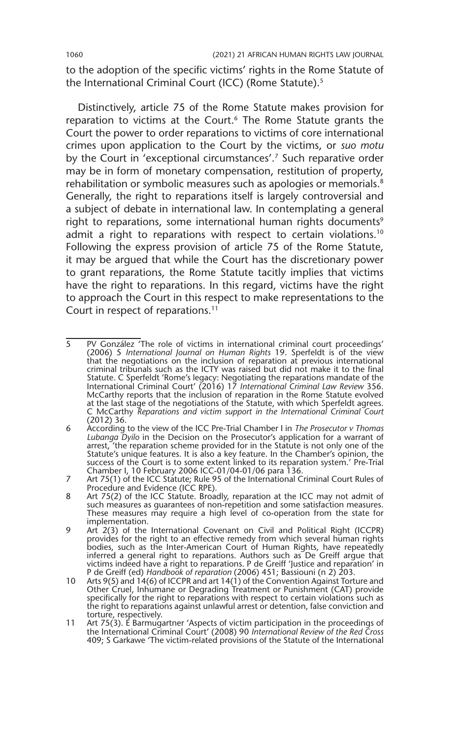to the adoption of the specific victims' rights in the Rome Statute of the International Criminal Court (ICC) (Rome Statute).<sup>5</sup>

Distinctively, article 75 of the Rome Statute makes provision for reparation to victims at the Court.<sup>6</sup> The Rome Statute grants the Court the power to order reparations to victims of core international crimes upon application to the Court by the victims, or *suo motu* by the Court in 'exceptional circumstances'.<sup>7</sup> Such reparative order may be in form of monetary compensation, restitution of property, rehabilitation or symbolic measures such as apologies or memorials.<sup>8</sup> Generally, the right to reparations itself is largely controversial and a subject of debate in international law. In contemplating a general right to reparations, some international human rights documents<sup>9</sup> admit a right to reparations with respect to certain violations.<sup>10</sup> Following the express provision of article 75 of the Rome Statute, it may be argued that while the Court has the discretionary power to grant reparations, the Rome Statute tacitly implies that victims have the right to reparations. In this regard, victims have the right to approach the Court in this respect to make representations to the Court in respect of reparations.11

<sup>5</sup> PV González 'The role of victims in international criminal court proceedings' (2006) 5 *International Journal on Human Rights* 19. Sperfeldt is of the view that the negotiations on the inclusion of reparation at previous international criminal tribunals such as the ICTY was raised but did not make it to the final Statute. C Sperfeldt 'Rome's legacy: Negotiating the reparations mandate of the International Criminal Court' (2016) 17 *International Criminal Law Review* 356. McCarthy reports that the inclusion of reparation in the Rome Statute evolved at the last stage of the negotiations of the Statute, with which Sperfeldt agrees. C McCarthy *Reparations and victim support in the International Criminal Court* (2012) 36.

<sup>6</sup> According to the view of the ICC Pre-Trial Chamber I in *The Prosecutor v Thomas Lubanga Dyilo* in the Decision on the Prosecutor's application for a warrant of arrest, 'the reparation scheme provided for in the Statute is not only one of the Statute's unique features. It is also a key feature. In the Chamber's opinion, the success of the Court is to some extent linked to its reparation system.' Pre-Trial Chamber I, 10 February 2006 ICC-01/04-01/06 para 136.

<sup>7</sup> Art 75(1) of the ICC Statute; Rule 95 of the International Criminal Court Rules of Procedure and Evidence (ICC RPE).

<sup>8</sup> Art 75(2) of the ICC Statute. Broadly, reparation at the ICC may not admit of such measures as guarantees of non-repetition and some satisfaction measures. These measures may require a high level of co-operation from the state for implementation.

<sup>9</sup> Art 2(3) of the International Covenant on Civil and Political Right (ICCPR) provides for the right to an effective remedy from which several human rights bodies, such as the Inter-American Court of Human Rights, have repeatedly inferred a general right to reparations. Authors such as De Greiff argue that victims indeed have a right to reparations. P de Greiff 'Justice and reparation' in P de Greiff (ed) *Handbook of reparation* (2006) 451; Bassiouni (n 2) 203.

<sup>10</sup> Arts 9(5) and 14(6) of ICCPR and art 14(1) of the Convention Against Torture and Other Cruel, Inhumane or Degrading Treatment or Punishment (CAT) provide specifically for the right to reparations with respect to certain violations such as the right to reparations against unlawful arrest or detention, false conviction and torture, respectively.

<sup>11</sup> Art 75(3). E Barmugartner 'Aspects of victim participation in the proceedings of the International Criminal Court' (2008) 90 *International Review of the Red Cross* 409; S Garkawe 'The victim-related provisions of the Statute of the International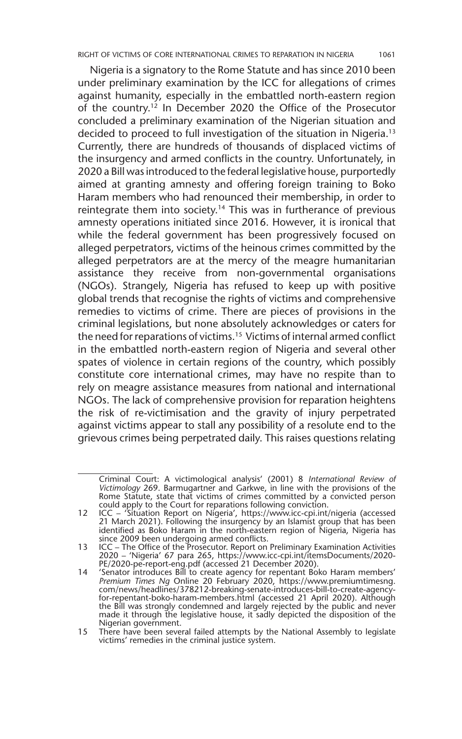Nigeria is a signatory to the Rome Statute and has since 2010 been under preliminary examination by the ICC for allegations of crimes against humanity, especially in the embattled north-eastern region of the country.12 In December 2020 the Office of the Prosecutor concluded a preliminary examination of the Nigerian situation and decided to proceed to full investigation of the situation in Nigeria.13 Currently, there are hundreds of thousands of displaced victims of the insurgency and armed conflicts in the country. Unfortunately, in 2020 a Bill was introduced to the federal legislative house, purportedly aimed at granting amnesty and offering foreign training to Boko Haram members who had renounced their membership, in order to reintegrate them into society.<sup>14</sup> This was in furtherance of previous amnesty operations initiated since 2016. However, it is ironical that while the federal government has been progressively focused on alleged perpetrators, victims of the heinous crimes committed by the alleged perpetrators are at the mercy of the meagre humanitarian assistance they receive from non-governmental organisations (NGOs). Strangely, Nigeria has refused to keep up with positive global trends that recognise the rights of victims and comprehensive remedies to victims of crime. There are pieces of provisions in the criminal legislations, but none absolutely acknowledges or caters for the need for reparations of victims.15 Victims of internal armed conflict in the embattled north-eastern region of Nigeria and several other spates of violence in certain regions of the country, which possibly constitute core international crimes, may have no respite than to rely on meagre assistance measures from national and international NGOs. The lack of comprehensive provision for reparation heightens the risk of re-victimisation and the gravity of injury perpetrated against victims appear to stall any possibility of a resolute end to the grievous crimes being perpetrated daily. This raises questions relating

Criminal Court: A victimological analysis' (2001) 8 *International Review of Victimology* 269. Barmugartner and Garkwe, in line with the provisions of the Rome Statute, state that victims of crimes committed by a convicted person could apply to the Court for reparations following conviction.

<sup>12</sup> ICC – 'Situation Report on Nigeria', https://www.icc-cpi.int/nigeria (accessed 21 March 2021). Following the insurgency by an Islamist group that has been identified as Boko Haram in the north-eastern region of Nigeria, Nigeria has since 2009 been undergoing armed conflicts.

<sup>13</sup> ICC – The Office of the Prosecutor. Report on Preliminary Examination Activities 2020 – 'Nigeria' 67 para 265, https://www.icc-cpi.int/itemsDocuments/2020- PE/2020-pe-report-eng.pdf (accessed 21 December 2020).

<sup>14</sup> 'Senator introduces Bill to create agency for repentant Boko Haram members' *Premium Times Ng* Online 20 February 2020, https://www.premiumtimesng. com/news/headlines/378212-breaking-senate-introduces-bill-to-create-agencyfor-repentant-boko-haram-members.html (accessed 21 April 2020). Although<br>the Bill was strongly condemned and largely rejected by the public and never<br>made it through the legislative house, it sadly depicted the disposition Nigerian government.

<sup>15</sup> There have been several failed attempts by the National Assembly to legislate victims' remedies in the criminal justice system.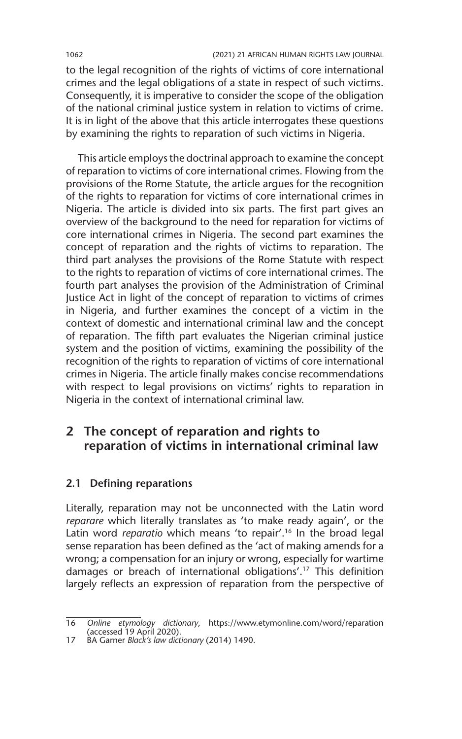to the legal recognition of the rights of victims of core international crimes and the legal obligations of a state in respect of such victims. Consequently, it is imperative to consider the scope of the obligation of the national criminal justice system in relation to victims of crime. It is in light of the above that this article interrogates these questions by examining the rights to reparation of such victims in Nigeria.

This article employs the doctrinal approach to examine the concept of reparation to victims of core international crimes. Flowing from the provisions of the Rome Statute, the article argues for the recognition of the rights to reparation for victims of core international crimes in Nigeria. The article is divided into six parts. The first part gives an overview of the background to the need for reparation for victims of core international crimes in Nigeria. The second part examines the concept of reparation and the rights of victims to reparation. The third part analyses the provisions of the Rome Statute with respect to the rights to reparation of victims of core international crimes. The fourth part analyses the provision of the Administration of Criminal Justice Act in light of the concept of reparation to victims of crimes in Nigeria, and further examines the concept of a victim in the context of domestic and international criminal law and the concept of reparation. The fifth part evaluates the Nigerian criminal justice system and the position of victims, examining the possibility of the recognition of the rights to reparation of victims of core international crimes in Nigeria. The article finally makes concise recommendations with respect to legal provisions on victims' rights to reparation in Nigeria in the context of international criminal law.

## **2 The concept of reparation and rights to reparation of victims in international criminal law**

#### **2.1 Defining reparations**

Literally, reparation may not be unconnected with the Latin word *reparare* which literally translates as 'to make ready again', or the Latin word *reparatio* which means 'to repair'.<sup>16</sup> In the broad legal sense reparation has been defined as the 'act of making amends for a wrong; a compensation for an injury or wrong, especially for wartime damages or breach of international obligations'.17 This definition largely reflects an expression of reparation from the perspective of

<sup>16</sup> *Online etymology dictionary*, https://www.etymonline.com/word/reparation (accessed 19 April 2020).

<sup>17</sup> BA Garner *Black's law dictionary* (2014) 1490.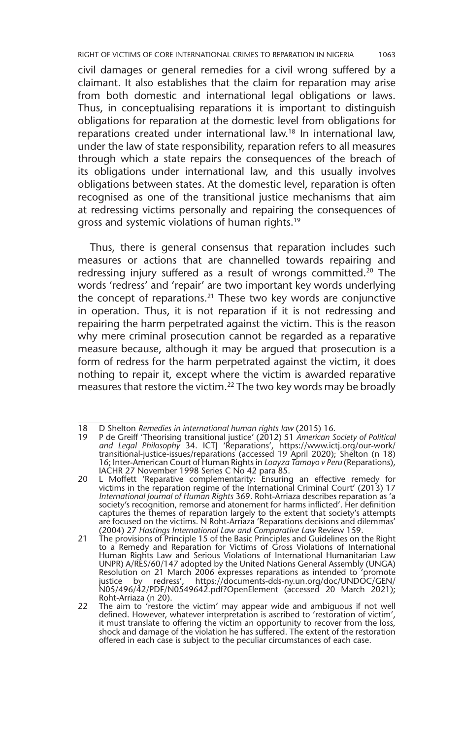RIGHT OF VICTIMS OF CORE INTERNATIONAL CRIMES TO REPARATION IN NIGERIA 1063

civil damages or general remedies for a civil wrong suffered by a claimant. It also establishes that the claim for reparation may arise from both domestic and international legal obligations or laws. Thus, in conceptualising reparations it is important to distinguish obligations for reparation at the domestic level from obligations for reparations created under international law.18 In international law, under the law of state responsibility, reparation refers to all measures through which a state repairs the consequences of the breach of its obligations under international law, and this usually involves obligations between states. At the domestic level, reparation is often recognised as one of the transitional justice mechanisms that aim at redressing victims personally and repairing the consequences of gross and systemic violations of human rights.19

Thus, there is general consensus that reparation includes such measures or actions that are channelled towards repairing and redressing injury suffered as a result of wrongs committed.<sup>20</sup> The words 'redress' and 'repair' are two important key words underlying the concept of reparations.21 These two key words are conjunctive in operation. Thus, it is not reparation if it is not redressing and repairing the harm perpetrated against the victim. This is the reason why mere criminal prosecution cannot be regarded as a reparative measure because, although it may be argued that prosecution is a form of redress for the harm perpetrated against the victim, it does nothing to repair it, except where the victim is awarded reparative measures that restore the victim.22 The two key words may be broadly

<sup>18</sup> D Shelton *Remedies in international human rights law* (2015) 16.

<sup>19</sup> P de Greiff 'Theorising transitional justice' (2012) 51 *American Society of Political and Legal Philosophy* 34. ICTJ 'Reparations', https://www.ictj.org/our-work/ transitional-justice-issues/reparations (accessed 19 April 2020); Shelton (n 18) 16; Inter-American Court of Human Rights in *Loayza Tamayo v Peru* (Reparations), IACHR 27 November 1998 Series C No 42 para 85.

<sup>20</sup> L Moffett 'Reparative complementarity: Ensuring an effective remedy for victims in the reparation regime of the International Criminal Court' (2013) 17 *International Journal of Human Rights* 369. Roht-Arriaza describes reparation as 'a society's recognition, remorse and atonement for harms inflicted'. Her definition captures the themes of reparation largely to the extent that society's attempts are focused on the victims. N Roht-Arriaza 'Reparations decisions and dilemmas' (2004) 27 *Hastings International Law and Comparative Law* Review 159.

<sup>21</sup> The provisions of Principle 15 of the Basic Principles and Guidelines on the Right to a Remedy and Reparation for Victims of Gross Violations of International Human Rights Law and Serious Violations of International Humanitarian Law UNPR) A/RES/60/147 adopted by the United Nations General Assembly (UNGA) Resolution on 21 March 2006 expresses reparations as intended to 'promote justice by redress', https://documents-dds-ny.un.org/doc/UNDOC/GEN/ N05/496/42/PDF/N0549642.pdf?OpenElement (accessed 20 March 2021);

Roht-Arriaza (n 20). 22 The aim to 'restore the victim' may appear wide and ambiguous if not well defined. However, whatever interpretation is ascribed to 'restoration of victim', it must translate to offering the victim an opportunity to recover from the loss, shock and damage of the violation he has suffered. The extent of the restoration offered in each case is subject to the peculiar circumstances of each case.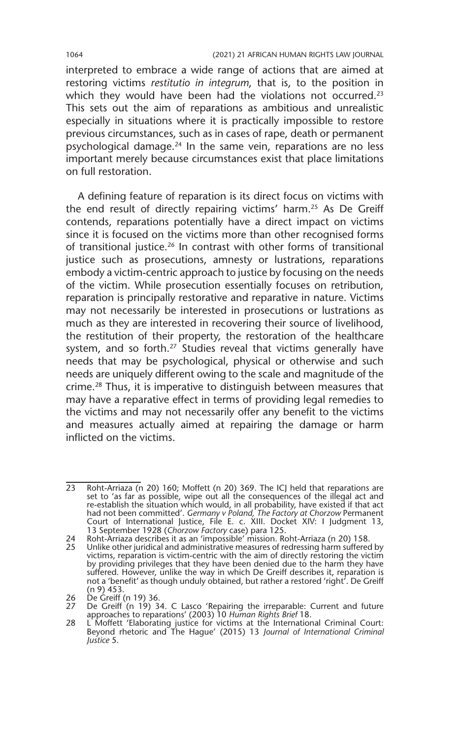interpreted to embrace a wide range of actions that are aimed at restoring victims *restitutio in integrum*, that is, to the position in which they would have been had the violations not occurred.<sup>23</sup> This sets out the aim of reparations as ambitious and unrealistic especially in situations where it is practically impossible to restore previous circumstances, such as in cases of rape, death or permanent psychological damage. $^{24}$  In the same vein, reparations are no less important merely because circumstances exist that place limitations on full restoration.

A defining feature of reparation is its direct focus on victims with the end result of directly repairing victims' harm.25 As De Greiff contends, reparations potentially have a direct impact on victims since it is focused on the victims more than other recognised forms of transitional justice.26 In contrast with other forms of transitional justice such as prosecutions, amnesty or lustrations, reparations embody a victim-centric approach to justice by focusing on the needs of the victim. While prosecution essentially focuses on retribution, reparation is principally restorative and reparative in nature. Victims may not necessarily be interested in prosecutions or lustrations as much as they are interested in recovering their source of livelihood, the restitution of their property, the restoration of the healthcare system, and so forth.<sup>27</sup> Studies reveal that victims generally have needs that may be psychological, physical or otherwise and such needs are uniquely different owing to the scale and magnitude of the crime.28 Thus, it is imperative to distinguish between measures that may have a reparative effect in terms of providing legal remedies to the victims and may not necessarily offer any benefit to the victims and measures actually aimed at repairing the damage or harm inflicted on the victims.

<sup>23</sup> Roht-Arriaza (n 20) 160; Moffett (n 20) 369. The ICJ held that reparations are set to 'as far as possible, wipe out all the consequences of the illegal act and re-establish the situation which would, in all probability, have existed if that act had not been committed'. *Germany v Poland, The Factory at Chorzow* Permanent Court of International Justice, File E. c. XIII. Docket XIV: I Judgment 13, 13 September 1928 (*Chorzow Factory* case) para 125.

<sup>24</sup> Roht-Arriaza describes it as an 'impossible' mission. Roht-Arriaza (n 20) 158.

<sup>25</sup> Unlike other juridical and administrative measures of redressing harm suffered by victims, reparation is victim-centric with the aim of directly restoring the victim by providing privileges that they have been denied due to the harm they have suffered. However, unlike the way in which De Greiff describes it, reparation is not a 'benefit' as though unduly obtained, but rather a restored 'right'. De Greiff (n 9) 453.

<sup>26</sup> De Greiff (n 19) 36. 27 De Greiff (n 19) 34. C Lasco 'Repairing the irreparable: Current and future approaches to reparations' (2003) 10 *Human Rights Brief* 18.

<sup>28</sup> L Moffett 'Elaborating justice for victims at the International Criminal Court: Beyond rhetoric and The Hague' (2015) 13 *Journal of International Criminal Justice* 5.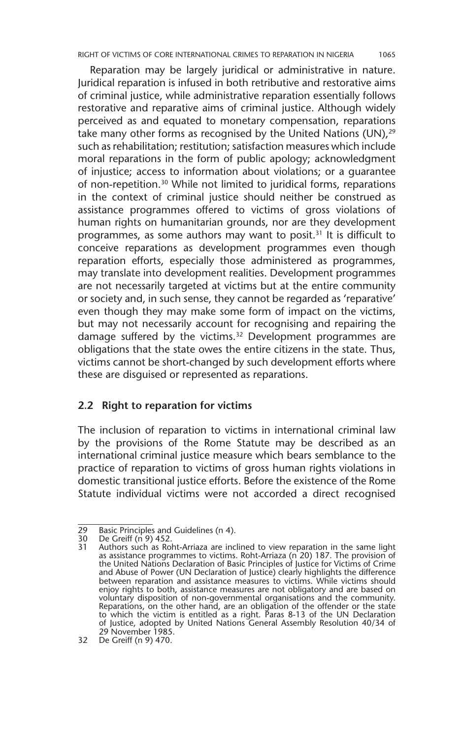Reparation may be largely juridical or administrative in nature. Juridical reparation is infused in both retributive and restorative aims of criminal justice, while administrative reparation essentially follows restorative and reparative aims of criminal justice. Although widely perceived as and equated to monetary compensation, reparations take many other forms as recognised by the United Nations (UN), $29$ such as rehabilitation; restitution; satisfaction measures which include moral reparations in the form of public apology; acknowledgment of injustice; access to information about violations; or a guarantee of non-repetition.30 While not limited to juridical forms, reparations in the context of criminal justice should neither be construed as assistance programmes offered to victims of gross violations of human rights on humanitarian grounds, nor are they development programmes, as some authors may want to posit.<sup>31</sup> It is difficult to conceive reparations as development programmes even though reparation efforts, especially those administered as programmes, may translate into development realities. Development programmes are not necessarily targeted at victims but at the entire community or society and, in such sense, they cannot be regarded as 'reparative' even though they may make some form of impact on the victims, but may not necessarily account for recognising and repairing the damage suffered by the victims.<sup>32</sup> Development programmes are obligations that the state owes the entire citizens in the state. Thus, victims cannot be short-changed by such development efforts where these are disguised or represented as reparations.

#### **2.2 Right to reparation for victims**

The inclusion of reparation to victims in international criminal law by the provisions of the Rome Statute may be described as an international criminal justice measure which bears semblance to the practice of reparation to victims of gross human rights violations in domestic transitional justice efforts. Before the existence of the Rome Statute individual victims were not accorded a direct recognised

<sup>29</sup> Basic Principles and Guidelines (n 4).<br>30 De Greiff (n 9) 452.

<sup>30</sup> De Greiff  $(n^2)$  452.<br>31 Authors such as Rol

<sup>31</sup> Authors such as Roht-Arriaza are inclined to view reparation in the same light as assistance programmes to victims. Roht-Arriaza (n 20) 187. The provision of the United Nations Declaration of Basic Principles of Justice for Victims of Crime and Abuse of Power (UN Declaration of Justice) clearly highlights the difference between reparation and assistance measures to victims. While victims should enjoy rights to both, assistance measures are not obligatory and are based on voluntary disposition of non-governmental organisations and the community. Reparations, on the other hand, are an obligation of the offender or the state to which the victim is entitled as a right. Paras 8-13 of the UN Declaration of Justice, adopted by United Nations General Assembly Resolution 40/34 of 29 November 1985.

<sup>32</sup> De Greiff (n 9) 470.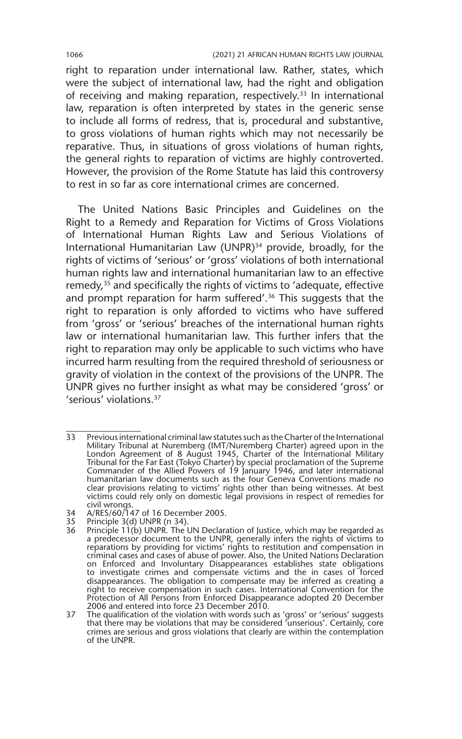right to reparation under international law. Rather, states, which were the subject of international law, had the right and obligation of receiving and making reparation, respectively.<sup>33</sup> In international law, reparation is often interpreted by states in the generic sense to include all forms of redress, that is, procedural and substantive, to gross violations of human rights which may not necessarily be reparative. Thus, in situations of gross violations of human rights, the general rights to reparation of victims are highly controverted. However, the provision of the Rome Statute has laid this controversy to rest in so far as core international crimes are concerned.

The United Nations Basic Principles and Guidelines on the Right to a Remedy and Reparation for Victims of Gross Violations of International Human Rights Law and Serious Violations of International Humanitarian Law (UNPR)<sup>34</sup> provide, broadly, for the rights of victims of 'serious' or 'gross' violations of both international human rights law and international humanitarian law to an effective remedy,<sup>35</sup> and specifically the rights of victims to 'adequate, effective and prompt reparation for harm suffered'.<sup>36</sup> This suggests that the right to reparation is only afforded to victims who have suffered from 'gross' or 'serious' breaches of the international human rights law or international humanitarian law. This further infers that the right to reparation may only be applicable to such victims who have incurred harm resulting from the required threshold of seriousness or gravity of violation in the context of the provisions of the UNPR. The UNPR gives no further insight as what may be considered 'gross' or 'serious' violations.37

<sup>33</sup> Previous international criminal law statutes such as the Charter of the International Military Tribunal at Nuremberg (IMT/Nuremberg Charter) agreed upon in the London Agreement of 8 August 1945, Charter of the International Military Tribunal for the Far East (Tokyo Charter) by special proclamation of the Supreme Commander of the Allied Powers of 19 January 1946, and later international humanitarian law documents such as the four Geneva Conventions made no clear provisions relating to victims' rights other than being witnesses. At best victims could rely only on domestic legal provisions in respect of remedies for civil wrongs.

<sup>34</sup> A/RES/60/147 of 16 December 2005.

<sup>35</sup> Principle 3(d) UNPR (n 34).

<sup>36</sup> Principle 11(b) UNPR. The UN Declaration of Justice, which may be regarded as a predecessor document to the UNPR, generally infers the rights of victims to reparations by providing for victims' rights to restitution and compensation in criminal cases and cases of abuse of power. Also, the United Nations Declaration on Enforced and Involuntary Disappearances establishes state obligations to investigate crimes and compensate victims and the in cases of forced disappearances. The obligation to compensate may be inferred as creating a right to receive compensation in such cases. International Convention for the Protection of All Persons from Enforced Disappearance adopted 20 December 2006 and entered into force 23 December 2010.

<sup>37</sup> The qualification of the violation with words such as 'gross' or 'serious' suggests that there may be violations that may be considered <sup>r</sup>unserious'. Certainly, core crimes are serious and gross violations that clearly are within the contemplation of the UNPR.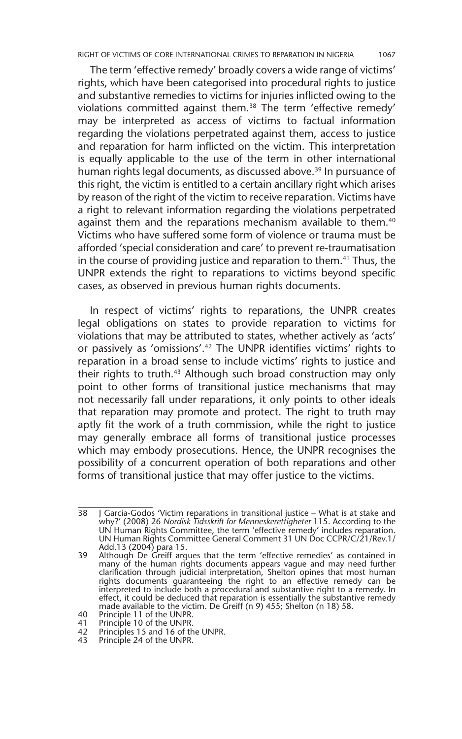The term 'effective remedy' broadly covers a wide range of victims' rights, which have been categorised into procedural rights to justice and substantive remedies to victims for injuries inflicted owing to the violations committed against them.38 The term 'effective remedy' may be interpreted as access of victims to factual information regarding the violations perpetrated against them, access to justice and reparation for harm inflicted on the victim. This interpretation is equally applicable to the use of the term in other international human rights legal documents, as discussed above.<sup>39</sup> In pursuance of this right, the victim is entitled to a certain ancillary right which arises by reason of the right of the victim to receive reparation. Victims have a right to relevant information regarding the violations perpetrated against them and the reparations mechanism available to them.<sup>40</sup> Victims who have suffered some form of violence or trauma must be afforded 'special consideration and care' to prevent re-traumatisation in the course of providing justice and reparation to them.<sup>41</sup> Thus, the UNPR extends the right to reparations to victims beyond specific cases, as observed in previous human rights documents.

In respect of victims' rights to reparations, the UNPR creates legal obligations on states to provide reparation to victims for violations that may be attributed to states, whether actively as 'acts' or passively as 'omissions'.42 The UNPR identifies victims' rights to reparation in a broad sense to include victims' rights to justice and their rights to truth.<sup>43</sup> Although such broad construction may only point to other forms of transitional justice mechanisms that may not necessarily fall under reparations, it only points to other ideals that reparation may promote and protect. The right to truth may aptly fit the work of a truth commission, while the right to justice may generally embrace all forms of transitional justice processes which may embody prosecutions. Hence, the UNPR recognises the possibility of a concurrent operation of both reparations and other forms of transitional justice that may offer justice to the victims.

<sup>38</sup> J Garcia-Godos 'Victim reparations in transitional justice – What is at stake and why?' (2008) 26 *Nordisk Tidsskrift for Menneskerettigheter* 115. According to the UN Human Rights Committee, the term 'effective remedy' includes reparation. UN Human Rights Committee General Comment 31 UN Doc CCPR/C/21/Rev.1/ Add.13 (2004) para 15.

<sup>39</sup> Although De Greiff argues that the term 'effective remedies' as contained in many of the human rights documents appears vague and may need further clarification through judicial interpretation, Shelton opines that most human rights documents guaranteeing the right to an effective remedy can be interpreted to include both a procedural and substantive right to a remedy. In effect, it could be deduced that reparation is essentially the substantive remedy made available to the victim. De Greiff (n 9) 455; Shelton (n 18) 58.

<sup>40</sup> Principle 11 of the UNPR.<br>41 Principle 10 of the UNPR. Principle 10 of the UNPR.

<sup>42</sup> Principles 15 and 16 of the UNPR.

<sup>43</sup> Principle 24 of the UNPR.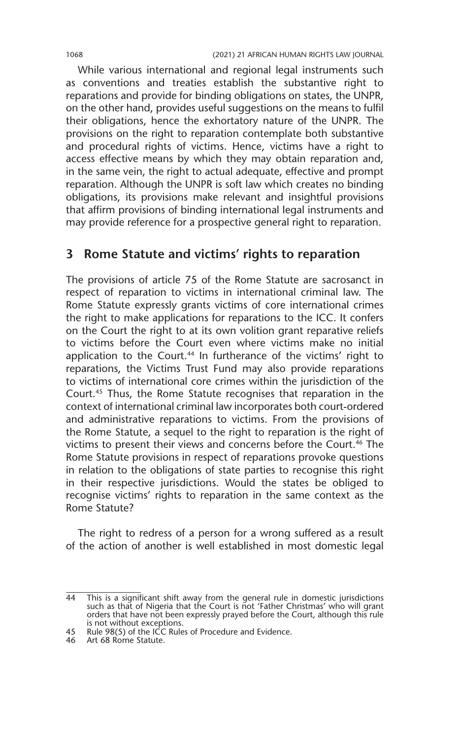While various international and regional legal instruments such as conventions and treaties establish the substantive right to reparations and provide for binding obligations on states, the UNPR, on the other hand, provides useful suggestions on the means to fulfil their obligations, hence the exhortatory nature of the UNPR. The provisions on the right to reparation contemplate both substantive and procedural rights of victims. Hence, victims have a right to access effective means by which they may obtain reparation and, in the same vein, the right to actual adequate, effective and prompt reparation. Although the UNPR is soft law which creates no binding obligations, its provisions make relevant and insightful provisions that affirm provisions of binding international legal instruments and may provide reference for a prospective general right to reparation.

#### **3 Rome Statute and victims' rights to reparation**

The provisions of article 75 of the Rome Statute are sacrosanct in respect of reparation to victims in international criminal law. The Rome Statute expressly grants victims of core international crimes the right to make applications for reparations to the ICC. It confers on the Court the right to at its own volition grant reparative reliefs to victims before the Court even where victims make no initial application to the Court.<sup>44</sup> In furtherance of the victims' right to reparations, the Victims Trust Fund may also provide reparations to victims of international core crimes within the jurisdiction of the Court.45 Thus, the Rome Statute recognises that reparation in the context of international criminal law incorporates both court-ordered and administrative reparations to victims. From the provisions of the Rome Statute, a sequel to the right to reparation is the right of victims to present their views and concerns before the Court.<sup>46</sup> The Rome Statute provisions in respect of reparations provoke questions in relation to the obligations of state parties to recognise this right in their respective jurisdictions. Would the states be obliged to recognise victims' rights to reparation in the same context as the Rome Statute?

The right to redress of a person for a wrong suffered as a result of the action of another is well established in most domestic legal

<sup>44</sup> This is a significant shift away from the general rule in domestic jurisdictions<br>such as that of Nigeria that the Court is not 'Father Christmas' who will grant<br>orders that have not been expressly prayed before the Cour is not without exceptions.

<sup>45</sup> Rule 98(5) of the ICC Rules of Procedure and Evidence.

<sup>46</sup> Art 68 Rome Statute.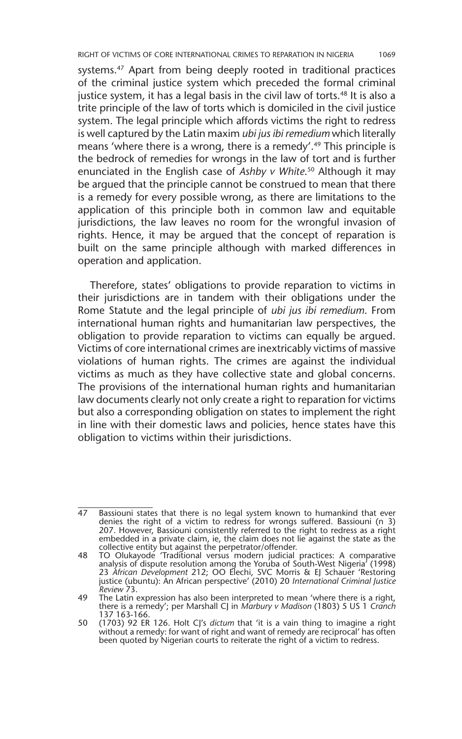RIGHT OF VICTIMS OF CORE INTERNATIONAL CRIMES TO REPARATION IN NIGERIA 1069

systems.<sup>47</sup> Apart from being deeply rooted in traditional practices of the criminal justice system which preceded the formal criminal justice system, it has a legal basis in the civil law of torts.<sup>48</sup> It is also a trite principle of the law of torts which is domiciled in the civil justice system. The legal principle which affords victims the right to redress is well captured by the Latin maxim *ubi jus ibi remedium* which literally means 'where there is a wrong, there is a remedy'.<sup>49</sup> This principle is the bedrock of remedies for wrongs in the law of tort and is further enunciated in the English case of *Ashby v White*. 50 Although it may be argued that the principle cannot be construed to mean that there is a remedy for every possible wrong, as there are limitations to the application of this principle both in common law and equitable jurisdictions, the law leaves no room for the wrongful invasion of rights. Hence, it may be argued that the concept of reparation is built on the same principle although with marked differences in operation and application.

Therefore, states' obligations to provide reparation to victims in their jurisdictions are in tandem with their obligations under the Rome Statute and the legal principle of *ubi jus ibi remedium*. From international human rights and humanitarian law perspectives, the obligation to provide reparation to victims can equally be argued. Victims of core international crimes are inextricably victims of massive violations of human rights. The crimes are against the individual victims as much as they have collective state and global concerns. The provisions of the international human rights and humanitarian law documents clearly not only create a right to reparation for victims but also a corresponding obligation on states to implement the right in line with their domestic laws and policies, hence states have this obligation to victims within their jurisdictions.

<sup>47</sup> Bassiouni states that there is no legal system known to humankind that ever denies the right of a victim to redress for wrongs suffered. Bassiouni (n 3) 207. However, Bassiouni consistently referred to the right to redress as a right embedded in a private claim, ie, the claim does not lie against the state as the collective entity but against the perpetrator/offender.

<sup>48</sup> TO Olukayode 'Traditional versus modern judicial practices: A comparative analysis of dispute resolution among the Yoruba of South-West Nigeria' (1998) 23 *African Development* 212; OO Elechi, SVC Morris & EJ Schauer 'Restoring justice (ubuntu): An African perspective' (2010) 20 *International Criminal Justice Review* 73.

<sup>49</sup> The Latin expression has also been interpreted to mean 'where there is a right, there is a remedy'; per Marshall CJ in *Marbury v Madison* (1803) 5 US 1 *Cranch* 137 163-166.

<sup>50</sup> (1703) 92 ER 126. Holt CJ's *dictum* that 'it is a vain thing to imagine a right without a remedy: for want of right and want of remedy are reciprocal' has often been quoted by Nigerian courts to reiterate the right of a victim to redress.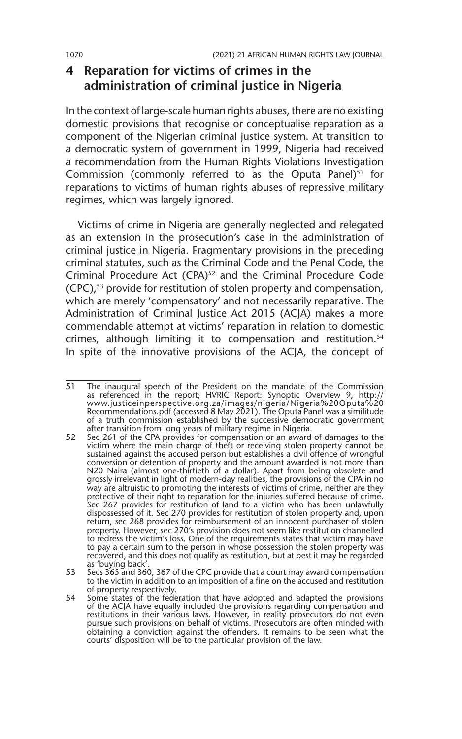### **4 Reparation for victims of crimes in the administration of criminal justice in Nigeria**

In the context of large-scale human rights abuses, there are no existing domestic provisions that recognise or conceptualise reparation as a component of the Nigerian criminal justice system. At transition to a democratic system of government in 1999, Nigeria had received a recommendation from the Human Rights Violations Investigation Commission (commonly referred to as the Oputa Panel) $51$  for reparations to victims of human rights abuses of repressive military regimes, which was largely ignored.

Victims of crime in Nigeria are generally neglected and relegated as an extension in the prosecution's case in the administration of criminal justice in Nigeria. Fragmentary provisions in the preceding criminal statutes, such as the Criminal Code and the Penal Code, the Criminal Procedure Act (CPA)<sup>52</sup> and the Criminal Procedure Code (CPC),53 provide for restitution of stolen property and compensation, which are merely 'compensatory' and not necessarily reparative. The Administration of Criminal Justice Act 2015 (ACJA) makes a more commendable attempt at victims' reparation in relation to domestic crimes, although limiting it to compensation and restitution.<sup>54</sup> In spite of the innovative provisions of the ACJA, the concept of

<sup>51</sup> The inaugural speech of the President on the mandate of the Commission as referenced in the report; HVRIC Report: Synoptic Overview 9, http:// www.justiceinperspective.org.za/images/nigeria/Nigeria%20Oputa%20 Recommendations.pdf (accessed 8 May 2021). The Oputa Panel was a similitude of a truth commission established by the successive democratic government after transition from long years of military regime in Nigeria.

<sup>52</sup> Sec 261 of the CPA provides for compensation or an award of damages to the victim where the main charge of theft or receiving stolen property cannot be sustained against the accused person but establishes a civil offence of wrongful conversion or detention of property and the amount awarded is not more than N20 Naira (almost one-thirtieth of a dollar). Apart from being obsolete and grossly irrelevant in light of modern-day realities, the provisions of the CPA in no way are altruistic to promoting the interests of victims of crime, neither are they protective of their right to reparation for the injuries suffered because of crime. Sec 267 provides for restitution of land to a victim who has been unlawfully dispossessed of it. Sec 270 provides for restitution of stolen property and, upon return, sec 268 provides for reimbursement of an innocent purchaser of stolen property. However, sec 270's provision does not seem like restitution channelled to redress the victim's loss. One of the requirements states that victim may have to pay a certain sum to the person in whose possession the stolen property was recovered, and this does not qualify as restitution, but at best it may be regarded as 'buying back'.

<sup>53</sup> Secs 365 and 360, 367 of the CPC provide that a court may award compensation to the victim in addition to an imposition of a fine on the accused and restitution of property respectively.

<sup>54</sup> Some states of the federation that have adopted and adapted the provisions of the ACJA have equally included the provisions regarding compensation and restitutions in their various laws. However, in reality prosecutors do not even pursue such provisions on behalf of victims. Prosecutors are often minded with obtaining a conviction against the offenders. It remains to be seen what the courts' disposition will be to the particular provision of the law.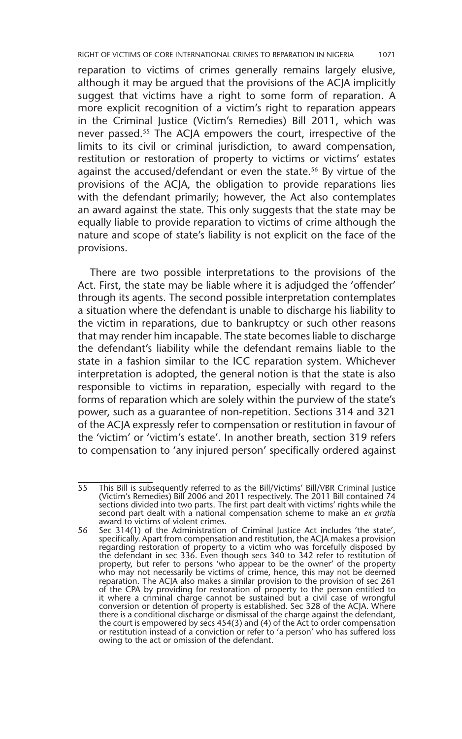reparation to victims of crimes generally remains largely elusive, although it may be argued that the provisions of the ACJA implicitly suggest that victims have a right to some form of reparation. A more explicit recognition of a victim's right to reparation appears in the Criminal Justice (Victim's Remedies) Bill 2011, which was never passed.<sup>55</sup> The ACJA empowers the court, irrespective of the limits to its civil or criminal jurisdiction, to award compensation, restitution or restoration of property to victims or victims' estates against the accused/defendant or even the state.<sup>56</sup> By virtue of the provisions of the ACJA, the obligation to provide reparations lies with the defendant primarily; however, the Act also contemplates an award against the state. This only suggests that the state may be equally liable to provide reparation to victims of crime although the nature and scope of state's liability is not explicit on the face of the provisions.

There are two possible interpretations to the provisions of the Act. First, the state may be liable where it is adjudged the 'offender' through its agents. The second possible interpretation contemplates a situation where the defendant is unable to discharge his liability to the victim in reparations, due to bankruptcy or such other reasons that may render him incapable. The state becomes liable to discharge the defendant's liability while the defendant remains liable to the state in a fashion similar to the ICC reparation system. Whichever interpretation is adopted, the general notion is that the state is also responsible to victims in reparation, especially with regard to the forms of reparation which are solely within the purview of the state's power, such as a guarantee of non-repetition. Sections 314 and 321 of the ACJA expressly refer to compensation or restitution in favour of the 'victim' or 'victim's estate'. In another breath, section 319 refers to compensation to 'any injured person' specifically ordered against

<sup>55</sup> This Bill is subsequently referred to as the Bill/Victims' Bill/VBR Criminal Justice (Victim's Remedies) Bill 2006 and 2011 respectively. The 2011 Bill contained 74 sections divided into two parts. The first part dealt with victims' rights while the second part dealt with a national compensation scheme to make an *ex gratia* award to victims of violent crimes.

<sup>56</sup> Sec 314(1) of the Administration of Criminal Justice Act includes 'the state', specifically. Apart from compensation and restitution, the ACJA makes a provision regarding restoration of property to a victim who was forcefully disposed by the defendant in sec 336. Even though secs 340 to 342 refer to restitution of property, but refer to persons 'who appear to be the owner' of the property who may not necessarily be victims of crime, hence, this may not be deemed reparation. The ACJA also makes a similar provision to the provision of sec 261 of the CPA by providing for restoration of property to the person entitled to it where a criminal charge cannot be sustained but a civil case of wrongful conversion or detention of property is established. Sec 328 of the ACJA. Where there is a conditional discharge or dismissal of the charge against the defendant, the court is empowered by secs 454(3) and (4) of the Act to order compensation or restitution instead of a conviction or refer to 'a person' who has suffered loss owing to the act or omission of the defendant.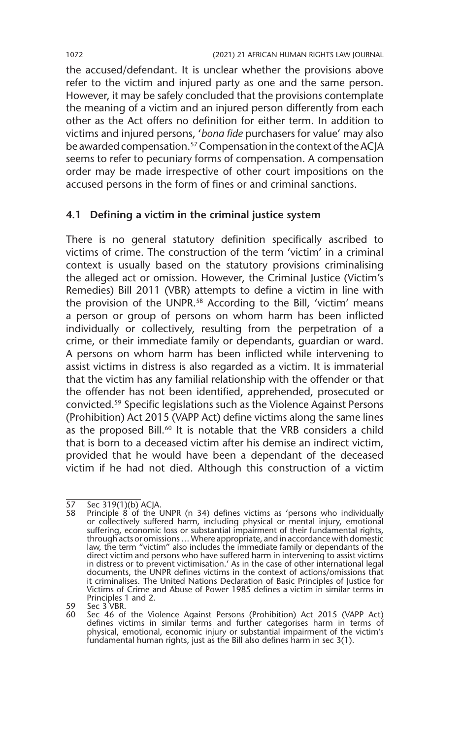the accused/defendant. It is unclear whether the provisions above refer to the victim and injured party as one and the same person. However, it may be safely concluded that the provisions contemplate the meaning of a victim and an injured person differently from each other as the Act offers no definition for either term. In addition to victims and injured persons, '*bona fide* purchasers for value' may also be awarded compensation.<sup>57</sup> Compensation in the context of the ACJA seems to refer to pecuniary forms of compensation. A compensation order may be made irrespective of other court impositions on the accused persons in the form of fines or and criminal sanctions.

#### **4.1 Defining a victim in the criminal justice system**

There is no general statutory definition specifically ascribed to victims of crime. The construction of the term 'victim' in a criminal context is usually based on the statutory provisions criminalising the alleged act or omission. However, the Criminal Justice (Victim's Remedies) Bill 2011 (VBR) attempts to define a victim in line with the provision of the UNPR.<sup>58</sup> According to the Bill, 'victim' means a person or group of persons on whom harm has been inflicted individually or collectively, resulting from the perpetration of a crime, or their immediate family or dependants, guardian or ward. A persons on whom harm has been inflicted while intervening to assist victims in distress is also regarded as a victim. It is immaterial that the victim has any familial relationship with the offender or that the offender has not been identified, apprehended, prosecuted or convicted.59 Specific legislations such as the Violence Against Persons (Prohibition) Act 2015 (VAPP Act) define victims along the same lines as the proposed Bill.<sup>60</sup> It is notable that the VRB considers a child that is born to a deceased victim after his demise an indirect victim, provided that he would have been a dependant of the deceased victim if he had not died. Although this construction of a victim

 $\overline{57}$  Sec 319(1)(b) ACJA.<br>58 Principle 8 of the U

<sup>58</sup> Principle 8 of the UNPR (n 34) defines victims as 'persons who individually or collectively suffered harm, including physical or mental injury, emotional suffering, economic loss or substantial impairment of their fundamental rights, through acts or omissions … Where appropriate, and in accordance with domestic law, the term "victim" also includes the immediate family or dependants of the direct victim and persons who have suffered harm in intervening to assist victims in distress or to prevent victimisation.' As in the case of other international legal documents, the UNPR defines victims in the context of actions/omissions that it criminalises. The United Nations Declaration of Basic Principles of Justice for Victims of Crime and Abuse of Power 1985 defines a victim in similar terms in Principles 1 and 2.

<sup>59</sup> Sec 3 VBR.

<sup>60</sup> Sec 46 of the Violence Against Persons (Prohibition) Act 2015 (VAPP Act) defines victims in similar terms and further categorises harm in terms of physical, emotional, economic injury or substantial impairment of the victim's fundamental human rights, just as the Bill also defines harm in sec 3(1).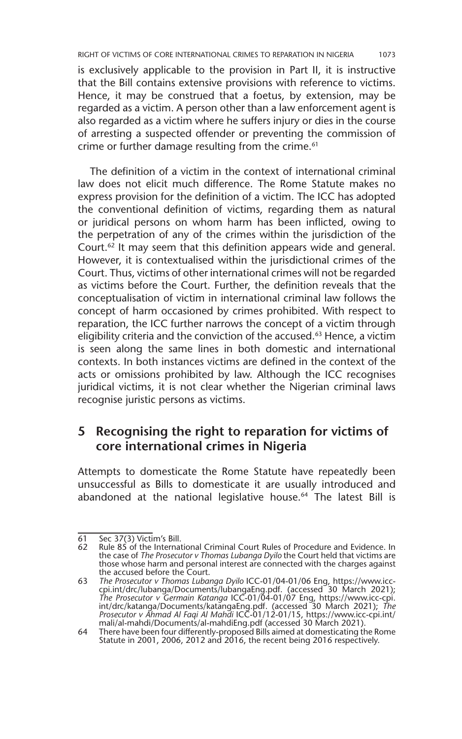is exclusively applicable to the provision in Part II, it is instructive that the Bill contains extensive provisions with reference to victims. Hence, it may be construed that a foetus, by extension, may be regarded as a victim. A person other than a law enforcement agent is also regarded as a victim where he suffers injury or dies in the course of arresting a suspected offender or preventing the commission of crime or further damage resulting from the crime.<sup>61</sup>

The definition of a victim in the context of international criminal law does not elicit much difference. The Rome Statute makes no express provision for the definition of a victim. The ICC has adopted the conventional definition of victims, regarding them as natural or juridical persons on whom harm has been inflicted, owing to the perpetration of any of the crimes within the jurisdiction of the Court. $62$  It may seem that this definition appears wide and general. However, it is contextualised within the jurisdictional crimes of the Court. Thus, victims of other international crimes will not be regarded as victims before the Court. Further, the definition reveals that the conceptualisation of victim in international criminal law follows the concept of harm occasioned by crimes prohibited. With respect to reparation, the ICC further narrows the concept of a victim through eligibility criteria and the conviction of the accused.<sup>63</sup> Hence, a victim is seen along the same lines in both domestic and international contexts. In both instances victims are defined in the context of the acts or omissions prohibited by law. Although the ICC recognises juridical victims, it is not clear whether the Nigerian criminal laws recognise juristic persons as victims.

#### **5 Recognising the right to reparation for victims of core international crimes in Nigeria**

Attempts to domesticate the Rome Statute have repeatedly been unsuccessful as Bills to domesticate it are usually introduced and abandoned at the national legislative house.<sup>64</sup> The latest Bill is

<sup>61</sup> Sec 37(3) Victim's Bill.<br>62 Rule 85 of the Internat

Rule 85 of the International Criminal Court Rules of Procedure and Evidence. In the case of *The Prosecutor v Thomas Lubanga Dyilo* the Court held that victims are those whose harm and personal interest are connected with the charges against the accused before the Court.

<sup>63</sup> *The Prosecutor v Thomas Lubanga Dyilo* ICC-01/04-01/06 Eng, https://www.icccpi.int/drc/lubanga/Documents/lubangaEng.pdf. (accessed 30 March 2021); The Prosecutor v Germain Katanga ICC-01/04-01/07 Eng, https://www.icc-cpi.<br>int/drc/katanga/Documents/katangaEng.pdf. (accessed 30 March 2021); *The*<br>Prosecutor v Ahmad Al Faqi Al Mahdi ICC-01/12-01/15, https://www.icc-cpi. mali/al-mahdi/Documents/al-mahdiEng.pdf (accessed 30 March 2021).

<sup>64</sup> There have been four differently-proposed Bills aimed at domesticating the Rome Statute in 2001, 2006, 2012 and 2016, the recent being 2016 respectively.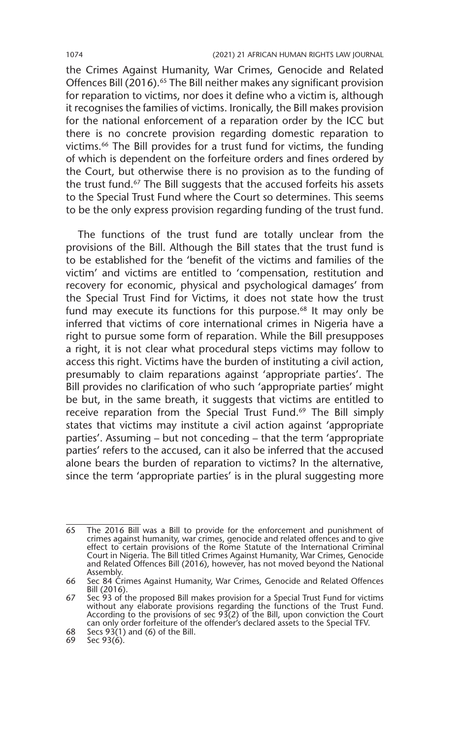the Crimes Against Humanity, War Crimes, Genocide and Related Offences Bill (2016).<sup>65</sup> The Bill neither makes any significant provision for reparation to victims, nor does it define who a victim is, although it recognises the families of victims. Ironically, the Bill makes provision for the national enforcement of a reparation order by the ICC but there is no concrete provision regarding domestic reparation to victims.66 The Bill provides for a trust fund for victims, the funding of which is dependent on the forfeiture orders and fines ordered by the Court, but otherwise there is no provision as to the funding of the trust fund.<sup>67</sup> The Bill suggests that the accused forfeits his assets to the Special Trust Fund where the Court so determines. This seems to be the only express provision regarding funding of the trust fund.

The functions of the trust fund are totally unclear from the provisions of the Bill. Although the Bill states that the trust fund is to be established for the 'benefit of the victims and families of the victim' and victims are entitled to 'compensation, restitution and recovery for economic, physical and psychological damages' from the Special Trust Find for Victims, it does not state how the trust fund may execute its functions for this purpose.<sup>68</sup> It may only be inferred that victims of core international crimes in Nigeria have a right to pursue some form of reparation. While the Bill presupposes a right, it is not clear what procedural steps victims may follow to access this right. Victims have the burden of instituting a civil action, presumably to claim reparations against 'appropriate parties'. The Bill provides no clarification of who such 'appropriate parties' might be but, in the same breath, it suggests that victims are entitled to receive reparation from the Special Trust Fund.<sup>69</sup> The Bill simply states that victims may institute a civil action against 'appropriate parties'. Assuming – but not conceding – that the term 'appropriate parties' refers to the accused, can it also be inferred that the accused alone bears the burden of reparation to victims? In the alternative, since the term 'appropriate parties' is in the plural suggesting more

<sup>65</sup> The 2016 Bill was a Bill to provide for the enforcement and punishment of crimes against humanity, war crimes, genocide and related offences and to give effect to certain provisions of the Rome Statute of the International Criminal Court in Nigeria. The Bill titled Crimes Against Humanity, War Crimes, Genocide and Related Offences Bill (2016), however, has not moved beyond the National Assembly.

<sup>66</sup> Sec 84 Crimes Against Humanity, War Crimes, Genocide and Related Offences Bill (2016).

<sup>67</sup> Sec 93 of the proposed Bill makes provision for a Special Trust Fund for victims<br>without any elaborate provisions regarding the functions of the Trust Fund.<br>According to the provisions of sec 93(2) of the Bill, upon con can only order forfeiture of the offender's declared assets to the Special TFV.

<sup>68</sup> Secs  $93(1)$  and (6) of the Bill.

<sup>69</sup> Sec 93(6).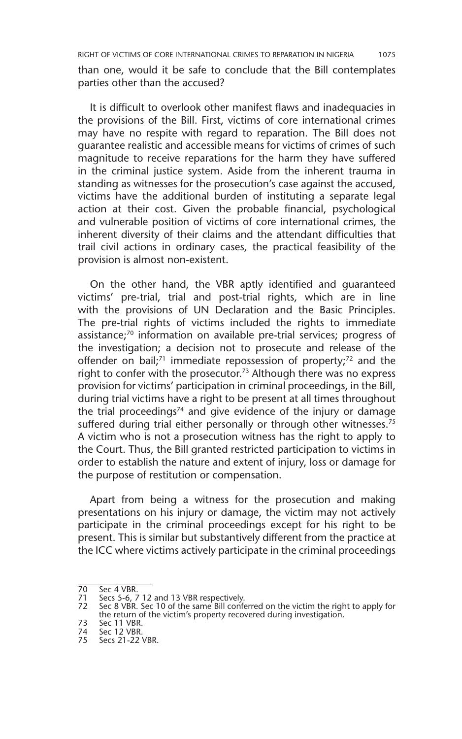RIGHT OF VICTIMS OF CORE INTERNATIONAL CRIMES TO REPARATION IN NIGERIA 1075

than one, would it be safe to conclude that the Bill contemplates parties other than the accused?

It is difficult to overlook other manifest flaws and inadequacies in the provisions of the Bill. First, victims of core international crimes may have no respite with regard to reparation. The Bill does not guarantee realistic and accessible means for victims of crimes of such magnitude to receive reparations for the harm they have suffered in the criminal justice system. Aside from the inherent trauma in standing as witnesses for the prosecution's case against the accused, victims have the additional burden of instituting a separate legal action at their cost. Given the probable financial, psychological and vulnerable position of victims of core international crimes, the inherent diversity of their claims and the attendant difficulties that trail civil actions in ordinary cases, the practical feasibility of the provision is almost non-existent.

On the other hand, the VBR aptly identified and guaranteed victims' pre-trial, trial and post-trial rights, which are in line with the provisions of UN Declaration and the Basic Principles. The pre-trial rights of victims included the rights to immediate assistance;70 information on available pre-trial services; progress of the investigation; a decision not to prosecute and release of the offender on bail;<sup>71</sup> immediate repossession of property;<sup>72</sup> and the right to confer with the prosecutor.<sup>73</sup> Although there was no express provision for victims' participation in criminal proceedings, in the Bill, during trial victims have a right to be present at all times throughout the trial proceedings<sup>74</sup> and give evidence of the injury or damage suffered during trial either personally or through other witnesses.<sup>75</sup> A victim who is not a prosecution witness has the right to apply to the Court. Thus, the Bill granted restricted participation to victims in order to establish the nature and extent of injury, loss or damage for the purpose of restitution or compensation.

Apart from being a witness for the prosecution and making presentations on his injury or damage, the victim may not actively participate in the criminal proceedings except for his right to be present. This is similar but substantively different from the practice at the ICC where victims actively participate in the criminal proceedings

<sup>70</sup> Sec 4 VBR.

<sup>71</sup> Secs 5-6, 7 12 and 13 VBR respectively. 72 Sec 8 VBR. Sec 10 of the same Bill conferred on the victim the right to apply for the return of the victim's property recovered during investigation.

<sup>73</sup> Sec 11 VBR.

<sup>74</sup> Sec 12 VBR.

Secs 21-22 VBR.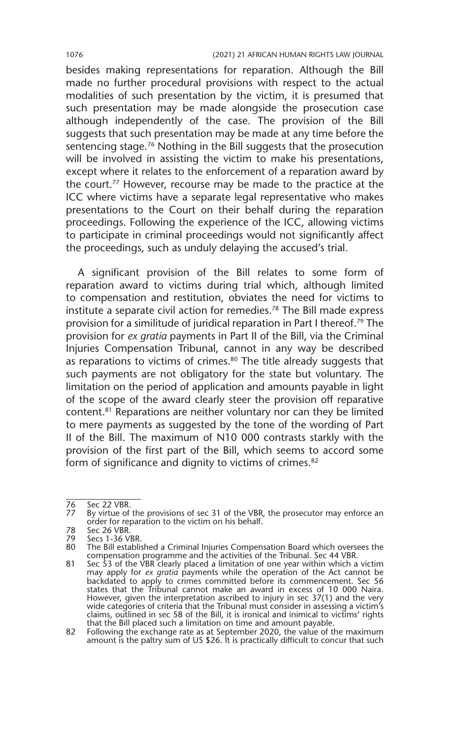besides making representations for reparation. Although the Bill made no further procedural provisions with respect to the actual modalities of such presentation by the victim, it is presumed that such presentation may be made alongside the prosecution case although independently of the case. The provision of the Bill suggests that such presentation may be made at any time before the sentencing stage.76 Nothing in the Bill suggests that the prosecution will be involved in assisting the victim to make his presentations, except where it relates to the enforcement of a reparation award by the court.77 However, recourse may be made to the practice at the ICC where victims have a separate legal representative who makes presentations to the Court on their behalf during the reparation proceedings. Following the experience of the ICC, allowing victims to participate in criminal proceedings would not significantly affect the proceedings, such as unduly delaying the accused's trial.

A significant provision of the Bill relates to some form of reparation award to victims during trial which, although limited to compensation and restitution, obviates the need for victims to institute a separate civil action for remedies.78 The Bill made express provision for a similitude of juridical reparation in Part I thereof.79 The provision for *ex gratia* payments in Part II of the Bill, via the Criminal Injuries Compensation Tribunal, cannot in any way be described as reparations to victims of crimes.<sup>80</sup> The title already suggests that such payments are not obligatory for the state but voluntary. The limitation on the period of application and amounts payable in light of the scope of the award clearly steer the provision off reparative content.81 Reparations are neither voluntary nor can they be limited to mere payments as suggested by the tone of the wording of Part II of the Bill. The maximum of N10 000 contrasts starkly with the provision of the first part of the Bill, which seems to accord some form of significance and dignity to victims of crimes.<sup>82</sup>

<sup>76</sup> Sec 22 VBR.<br>77 By virtue of

By virtue of the provisions of sec 31 of the VBR, the prosecutor may enforce an order for reparation to the victim on his behalf.

<sup>78</sup> Sec 26 VBR.

<sup>79</sup> Secs 1-36 VBR.<br>80 The Bill establi:

<sup>80</sup> The Bill established a Criminal Injuries Compensation Board which oversees the compensation programme and the activities of the Tribunal. Sec 44 VBR.

<sup>81</sup> Sec 53 of the VBR clearly placed a limitation of one year within which a victim may apply for *ex gratia* payments while the operation of the Act cannot be backdated to apply to crimes committed before its commencement. Sec 56 states that the Tribunal cannot make an award in excess of 10 000 Naira. However, given the interpretation ascribed to injury in sec 37(1) and the very<br>wide categories of criteria that the Tribunal must consider in assessing a victim's<br>claims, outlined in sec 58 of the Bill, it is ironical and that the Bill placed such a limitation on time and amount payable.

<sup>82</sup> Following the exchange rate as at September 2020, the value of the maximum amount is the paltry sum of US \$26. It is practically difficult to concur that such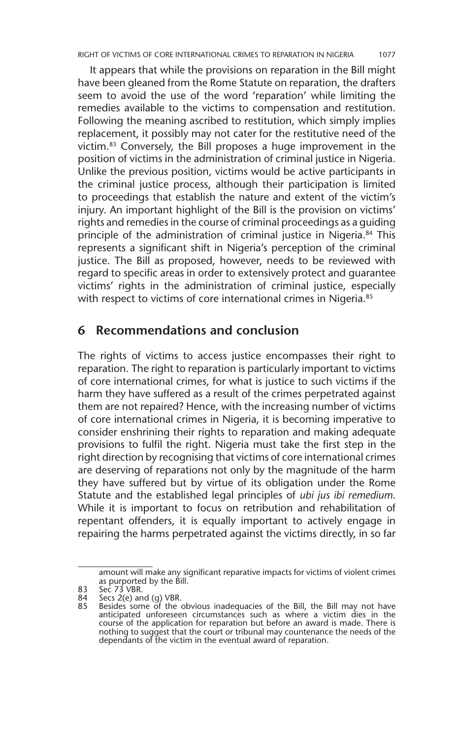It appears that while the provisions on reparation in the Bill might have been gleaned from the Rome Statute on reparation, the drafters seem to avoid the use of the word 'reparation' while limiting the remedies available to the victims to compensation and restitution. Following the meaning ascribed to restitution, which simply implies replacement, it possibly may not cater for the restitutive need of the victim.83 Conversely, the Bill proposes a huge improvement in the position of victims in the administration of criminal justice in Nigeria. Unlike the previous position, victims would be active participants in the criminal justice process, although their participation is limited to proceedings that establish the nature and extent of the victim's injury. An important highlight of the Bill is the provision on victims' rights and remedies in the course of criminal proceedings as a guiding principle of the administration of criminal justice in Nigeria.<sup>84</sup> This represents a significant shift in Nigeria's perception of the criminal justice. The Bill as proposed, however, needs to be reviewed with regard to specific areas in order to extensively protect and guarantee victims' rights in the administration of criminal justice, especially with respect to victims of core international crimes in Nigeria.<sup>85</sup>

#### **6 Recommendations and conclusion**

The rights of victims to access justice encompasses their right to reparation. The right to reparation is particularly important to victims of core international crimes, for what is justice to such victims if the harm they have suffered as a result of the crimes perpetrated against them are not repaired? Hence, with the increasing number of victims of core international crimes in Nigeria, it is becoming imperative to consider enshrining their rights to reparation and making adequate provisions to fulfil the right. Nigeria must take the first step in the right direction by recognising that victims of core international crimes are deserving of reparations not only by the magnitude of the harm they have suffered but by virtue of its obligation under the Rome Statute and the established legal principles of *ubi jus ibi remedium*. While it is important to focus on retribution and rehabilitation of repentant offenders, it is equally important to actively engage in repairing the harms perpetrated against the victims directly, in so far

amount will make any significant reparative impacts for victims of violent crimes as purported by the Bill.

<sup>83</sup> Sec 73 VBR.<br>84 Secs 2(e) an

<sup>84</sup> Secs 2(e) and (g) VBR. 85 Besides some of the obvious inadequacies of the Bill, the Bill may not have anticipated unforeseen circumstances such as where a victim dies in the course of the application for reparation but before an award is made. There is nothing to suggest that the court or tribunal may countenance the needs of the dependants of the victim in the eventual award of reparation.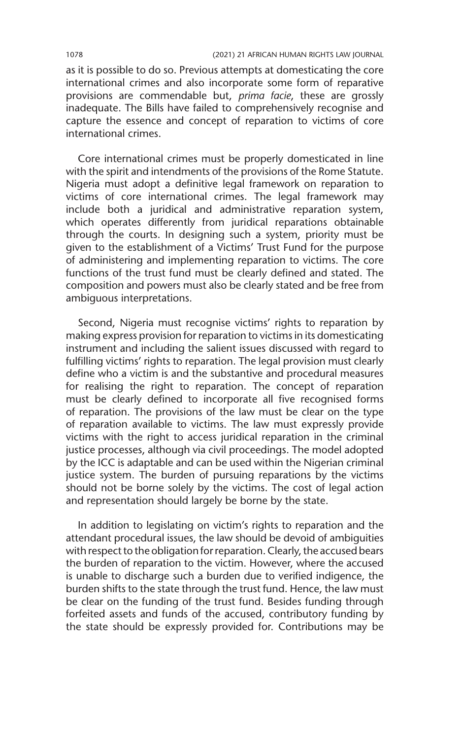as it is possible to do so. Previous attempts at domesticating the core international crimes and also incorporate some form of reparative provisions are commendable but, *prima facie*, these are grossly inadequate. The Bills have failed to comprehensively recognise and capture the essence and concept of reparation to victims of core international crimes.

Core international crimes must be properly domesticated in line with the spirit and intendments of the provisions of the Rome Statute. Nigeria must adopt a definitive legal framework on reparation to victims of core international crimes. The legal framework may include both a juridical and administrative reparation system, which operates differently from juridical reparations obtainable through the courts. In designing such a system, priority must be given to the establishment of a Victims' Trust Fund for the purpose of administering and implementing reparation to victims. The core functions of the trust fund must be clearly defined and stated. The composition and powers must also be clearly stated and be free from ambiguous interpretations.

Second, Nigeria must recognise victims' rights to reparation by making express provision for reparation to victims in its domesticating instrument and including the salient issues discussed with regard to fulfilling victims' rights to reparation. The legal provision must clearly define who a victim is and the substantive and procedural measures for realising the right to reparation. The concept of reparation must be clearly defined to incorporate all five recognised forms of reparation. The provisions of the law must be clear on the type of reparation available to victims. The law must expressly provide victims with the right to access juridical reparation in the criminal justice processes, although via civil proceedings. The model adopted by the ICC is adaptable and can be used within the Nigerian criminal justice system. The burden of pursuing reparations by the victims should not be borne solely by the victims. The cost of legal action and representation should largely be borne by the state.

In addition to legislating on victim's rights to reparation and the attendant procedural issues, the law should be devoid of ambiguities with respect to the obligation for reparation. Clearly, the accused bears the burden of reparation to the victim. However, where the accused is unable to discharge such a burden due to verified indigence, the burden shifts to the state through the trust fund. Hence, the law must be clear on the funding of the trust fund. Besides funding through forfeited assets and funds of the accused, contributory funding by the state should be expressly provided for. Contributions may be